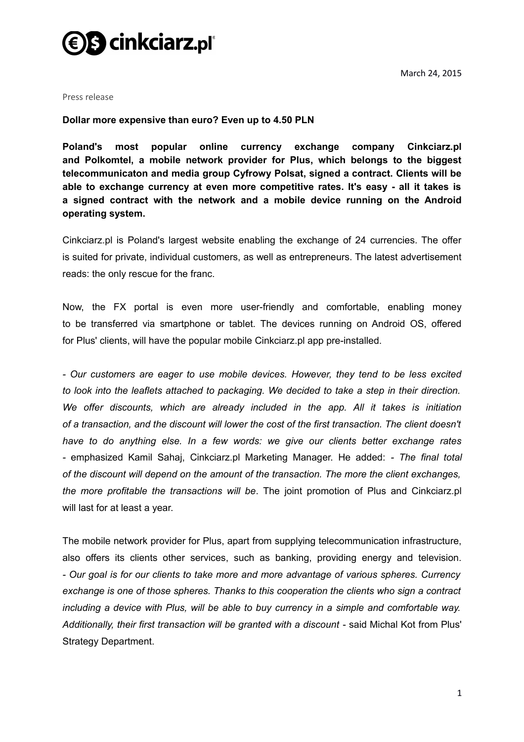

March 24, 2015

Press release

## **Dollar more expensive than euro? Even up to 4.50 PLN**

**Poland's most popular online currency exchange company Cinkciarz.pl and Polkomtel, a mobile network provider for Plus, which belongs to the biggest telecommunicaton and media group Cyfrowy Polsat, signed a contract. Clients will be able to exchange currency at even more competitive rates. It's easy - all it takes is a signed contract with the network and a mobile device running on the Android operating system.**

Cinkciarz.pl is Poland's largest website enabling the exchange of 24 currencies. The offer is suited for private, individual customers, as well as entrepreneurs. The latest advertisement reads: the only rescue for the franc.

Now, the FX portal is even more user-friendly and comfortable, enabling money to be transferred via smartphone or tablet. The devices running on Android OS, offered for Plus' clients, will have the popular mobile Cinkciarz.pl app pre-installed.

*- Our customers are eager to use mobile devices. However, they tend to be less excited to look into the leaflets attached to packaging. We decided to take a step in their direction. We offer discounts, which are already included in the app. All it takes is initiation of a transaction, and the discount will lower the cost of the first transaction. The client doesn't have to do anything else. In a few words: we give our clients better exchange rates -* emphasized Kamil Sahaj, Cinkciarz.pl Marketing Manager. He added: *- The final total of the discount will depend on the amount of the transaction. The more the client exchanges, the more profitable the transactions will be*. The joint promotion of Plus and Cinkciarz.pl will last for at least a year.

The mobile network provider for Plus, apart from supplying telecommunication infrastructure, also offers its clients other services, such as banking, providing energy and television. *- Our goal is for our clients to take more and more advantage of various spheres. Currency exchange is one of those spheres. Thanks to this cooperation the clients who sign a contract including a device with Plus, will be able to buy currency in a simple and comfortable way. Additionally, their first transaction will be granted with a discount* - said Michal Kot from Plus' Strategy Department.